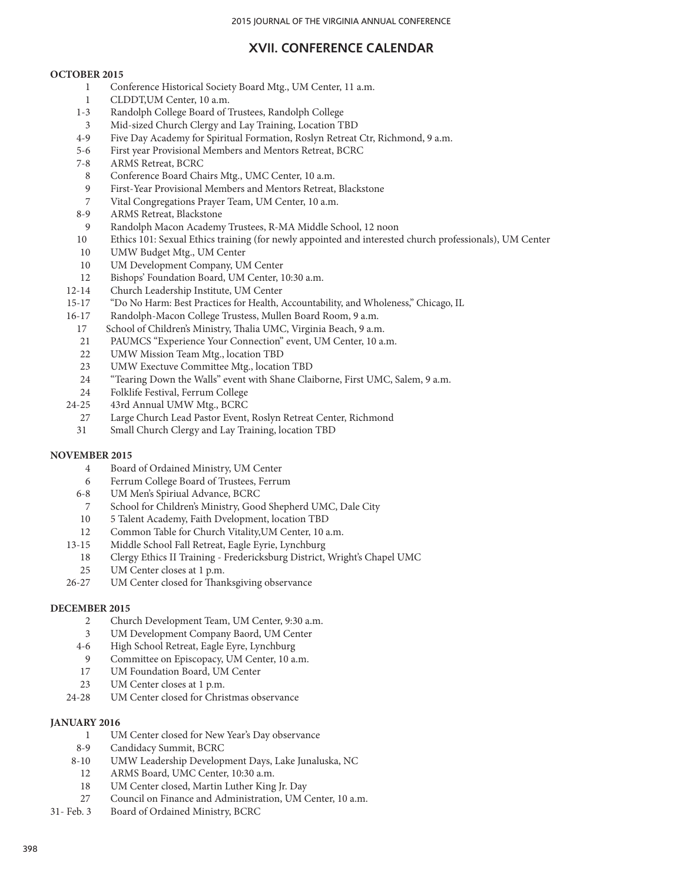# **XVII. CONFERENCE CALENDAR**

### **OCTOBER 2015**

- 1 Conference Historical Society Board Mtg., UM Center, 11 a.m.
- 1 CLDDT,UM Center, 10 a.m.
- 1-3 Randolph College Board of Trustees, Randolph College
- 3 Mid-sized Church Clergy and Lay Training, Location TBD
- 4-9 Five Day Academy for Spiritual Formation, Roslyn Retreat Ctr, Richmond, 9 a.m.
- 5-6 First year Provisional Members and Mentors Retreat, BCRC
- 7-8 ARMS Retreat, BCRC
- 8 Conference Board Chairs Mtg., UMC Center, 10 a.m.
- 9 First-Year Provisional Members and Mentors Retreat, Blackstone<br>7 Vital Congregations Praver Team, UM Center, 10 a.m.
- Vital Congregations Prayer Team, UM Center, 10 a.m.
- 8-9 ARMS Retreat, Blackstone
- 9 Randolph Macon Academy Trustees, R-MA Middle School, 12 noon
- 10 Ethics 101: Sexual Ethics training (for newly appointed and interested church professionals), UM Center
- 10 UMW Budget Mtg., UM Center
- 10 UM Development Company, UM Center
- 12 Bishops' Foundation Board, UM Center, 10:30 a.m.
- 12-14 Church Leadership Institute, UM Center
- 15-17 "Do No Harm: Best Practices for Health, Accountability, and Wholeness," Chicago, IL
- 16-17 Randolph-Macon College Trustess, Mullen Board Room, 9 a.m.
	- 17 School of Children's Ministry, Thalia UMC, Virginia Beach, 9 a.m.
	- 21 PAUMCS "Experience Your Connection" event, UM Center, 10 a.m.
	- 22 UMW Mission Team Mtg., location TBD
	- 23 UMW Exectuve Committee Mtg., location TBD
	- 24 "Tearing Down the Walls" event with Shane Claiborne, First UMC, Salem, 9 a.m.
- 24 Folklife Festival, Ferrum College<br>24-25 43rd Annual UMW Mtg., BCRC
- 43rd Annual UMW Mtg., BCRC
- 27 Large Church Lead Pastor Event, Roslyn Retreat Center, Richmond
- 31 Small Church Clergy and Lay Training, location TBD

# **NOVEMBER 2015**

- 4 Board of Ordained Ministry, UM Center
- 6 Ferrum College Board of Trustees, Ferrum
- 6-8 UM Men's Spiriual Advance, BCRC
- 7 School for Children's Ministry, Good Shepherd UMC, Dale City
- 10 5 Talent Academy, Faith Dvelopment, location TBD
- 12 Common Table for Church Vitality,UM Center, 10 a.m.
- 13-15 Middle School Fall Retreat, Eagle Eyrie, Lynchburg
	- 18 Clergy Ethics II Training Fredericksburg District, Wright's Chapel UMC
	- 25 UM Center closes at 1 p.m.
- 26-27 UM Center closed for Thanksgiving observance

### **DECEMBER 2015**

- 2 Church Development Team, UM Center, 9:30 a.m.
- 
- 3 UM Development Company Baord, UM Center 4-6 High School Retreat, Eagle Eyre, Lynchburg
- 9 Committee on Episcopacy, UM Center, 10 a.m.
- 17 UM Foundation Board, UM Center
- 23 UM Center closes at 1 p.m.
- 24-28 UM Center closed for Christmas observance

### **JANUARY 2016**

- 1 UM Center closed for New Year's Day observance
- 8-9 Candidacy Summit, BCRC<br>8-10 UMW Leadership Develop
- 8-10 UMW Leadership Development Days, Lake Junaluska, NC
- 12 ARMS Board, UMC Center, 10:30 a.m.
- 18 UM Center closed, Martin Luther King Jr. Day
- 27 Council on Finance and Administration, UM Center, 10 a.m.
- 31- Feb. 3 Board of Ordained Ministry, BCRC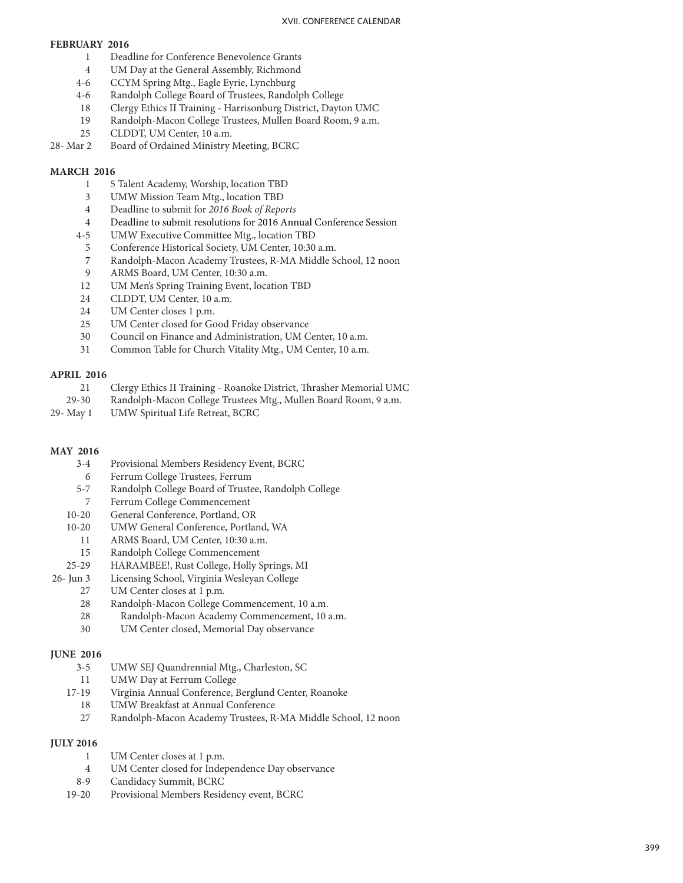### **FEBRUARY 2016**

- 1 Deadline for Conference Benevolence Grants
- 4 UM Day at the General Assembly, Richmond
- 4-6 CCYM Spring Mtg., Eagle Eyrie, Lynchburg<br>4-6 Randolph College Board of Trustees, Randol
- Randolph College Board of Trustees, Randolph College
- 18 Clergy Ethics II Training Harrisonburg District, Dayton UMC
- 19 Randolph-Macon College Trustees, Mullen Board Room, 9 a.m.
- 25 CLDDT, UM Center, 10 a.m.
- 28- Mar 2 Board of Ordained Ministry Meeting, BCRC

### **MARCH 2016**

- <sup>1</sup> 5 Talent Academy, Worship, location TBD 3 UMW Mission Team Mtg., location TBD
- 
- 4 Deadline to submit for *2016 Book of Reports*
- 4 Deadline to submit resolutions for 2016 Annual Conference Session
- 4-5 UMW Executive Committee Mtg., location TBD
- 
- <sup>5</sup> Conference Historical Society, UM Center, 10:30 a.m. 7 Randolph-Macon Academy Trustees, R-MA Middle School, 12 noon 9 ARMS Board, UM Center, 10:30 a.m.
- 
- 12 UM Men's Spring Training Event, location TBD
- 24 CLDDT, UM Center, 10 a.m.
- 24 UM Center closes 1 p.m.
- 25 UM Center closed for Good Friday observance
- 30 Council on Finance and Administration, UM Center, 10 a.m.
- 31 Common Table for Church Vitality Mtg., UM Center, 10 a.m.

# **APRIL 2016**

- 21 Clergy Ethics II Training Roanoke District, Thrasher Memorial UMC
- 29-30 Randolph-Macon College Trustees Mtg., Mullen Board Room, 9 a.m.
- 29- May 1 UMW Spiritual Life Retreat, BCRC

# **MAY 2016**

- 3-4 Provisional Members Residency Event, BCRC
- 6 Ferrum College Trustees, Ferrum
- 5-7 Randolph College Board of Trustee, Randolph College 7 Ferrum College Commencement
- 
- 10-20 General Conference, Portland, OR
- 10-20 UMW General Conference, Portland, WA
- 11 ARMS Board, UM Center, 10:30 a.m.
- 15 Randolph College Commencement
- 25-29 HARAMBEE!, Rust College, Holly Springs, MI
- 26- Jun 3 Licensing School, Virginia Wesleyan College
	- 27 UM Center closes at 1 p.m.
	- 28 Randolph-Macon College Commencement, 10 a.m.
	- 28 Randolph-Macon Academy Commencement, 10 a.m.
	- 30 UM Center closed, Memorial Day observance

# **JUNE 2016**

- 3-5 UMW SEJ Quandrennial Mtg., Charleston, SC
- 11 UMW Day at Ferrum College<br>17-19 Virginia Annual Conference.
- Virginia Annual Conference, Berglund Center, Roanoke
- 18 UMW Breakfast at Annual Conference
- 27 Randolph-Macon Academy Trustees, R-MA Middle School, 12 noon

# **JULY 2016**

- 
- 1 UM Center closes at 1 p.m.<br>4 UM Center closed for Independence Day observance
- 8-9 Candidacy Summit, BCRC
- 19-20 Provisional Members Residency event, BCRC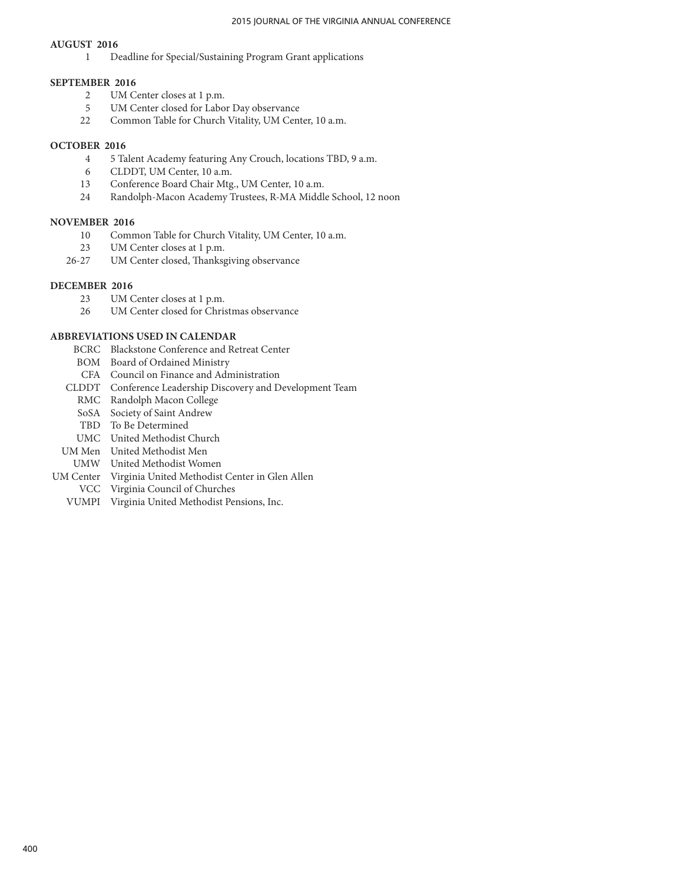#### **AUGUST 2016**

1 Deadline for Special/Sustaining Program Grant applications

#### **SEPTEMBER 2016**

- 2 UM Center closes at 1 p.m.
- 5 UM Center closed for Labor Day observance
- 22 Common Table for Church Vitality, UM Center, 10 a.m.

### **OCTOBER 2016**

- 4 5 Talent Academy featuring Any Crouch, locations TBD, 9 a.m.
- CLDDT, UM Center, 10 a.m.
- 13 Conference Board Chair Mtg., UM Center, 10 a.m.
- 24 Randolph-Macon Academy Trustees, R-MA Middle School, 12 noon

#### **NOVEMBER 2016**

- 10 Common Table for Church Vitality, UM Center, 10 a.m.
- 23 UM Center closes at 1 p.m.
- 26-27 UM Center closed, Thanksgiving observance

#### **DECEMBER 2016**

- 23 UM Center closes at 1 p.m.
- 26 UM Center closed for Christmas observance

# **ABBREVIATIONS USED IN CALENDAR**

- BCRC Blackstone Conference and Retreat Center
- BOM Board of Ordained Ministry
- CFA Council on Finance and Administration
- CLDDT Conference Leadership Discovery and Development Team
	- RMC Randolph Macon College
	- SoSA Society of Saint Andrew
	- TBD To Be Determined
- UMC United Methodist Church
- UM Men United Methodist Men
- UMW United Methodist Women
- UM Center Virginia United Methodist Center in Glen Allen
- VCC Virginia Council of Churches
- VUMPI Virginia United Methodist Pensions, Inc.